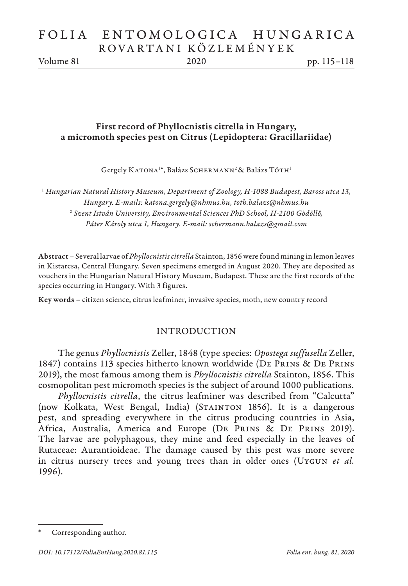# FOLIA ENTOMOLOGICA HUNGARICA ROVARTANI KÖZLEMÉNYEK

Volume 81 2020 pp. 115–118

## First record of Phyllocnistis citrella in Hungary, a micromoth species pest on Citrus (Lepidoptera: Gracillariidae)

Gergely KATONA<sup>1\*</sup>, Balázs SCHERMANN<sup>2</sup> & Balázs TÓTH<sup>1</sup>

<sup>1</sup> *Hungarian Natural History Museum, Department of Zoology, H-1088 Budapest, Baross utca 13, Hungary. E-mails: katona.gergely@nhmus.hu, toth.balazs@nhmus.hu* <sup>2</sup> *Szent István University, Environmental Sciences PhD School, H-2100 Gödöllő, Páter Károly utca 1, Hungary. E-mail: schermann.balazs@gmail.com*

Abstract – Several larvae of *Phyllocnistis citrella* Stainton, 1856 were found mining in lemon leaves in Kistarcsa, Central Hungary. Seven specimens emerged in August 2020. They are deposited as vouchers in the Hungarian Natural History Museum, Budapest. These are the first records of the species occurring in Hungary. With 3 figures.

Key words – citizen science, citrus leafminer, invasive species, moth, new country record

### INTRODUCTION

The genus *Phyllocnistis* Zeller, 1848 (type species: *Opostega suffusella* Zeller, 1847) contains 113 species hitherto known worldwide (De Prins & De Prins 2019), the most famous among them is *Phyllocnistis citrella* Stainton, 1856. This cosmopolitan pest micromoth species is the subject of around 1000 publications.

*Phyllocnistis citrella*, the citrus leafminer was described from "Calcutta" (now Kolkata, West Bengal, India) (STAINTON 1856). It is a dangerous pest, and spreading everywhere in the citrus producing countries in Asia, Africa, Australia, America and Europe (De Prins & De Prins 2019). The larvae are polyphagous, they mine and feed especially in the leaves of Rutaceae: Aurantioideae. The damage caused by this pest was more severe in citrus nursery trees and young trees than in older ones (Uygun *et al.* 1996).

Corresponding author.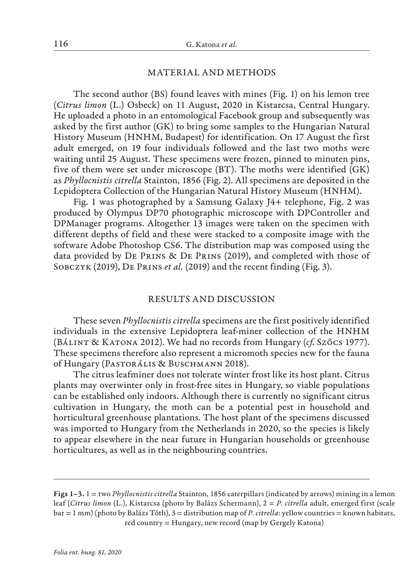#### MATERIAL AND METHODS

The second author (BS) found leaves with mines (Fig. 1) on his lemon tree (*Citrus limon* (L.) Osbeck) on 11 August, 2020 in Kistarcsa, Central Hungary. He uploaded a photo in an entomological Facebook group and subsequently was asked by the first author (GK) to bring some samples to the Hungarian Natural History Museum (HNHM, Budapest) for identification. On 17 August the first adult emerged, on 19 four individuals followed and the last two moths were waiting until 25 August. These specimens were frozen, pinned to minuten pins, five of them were set under microscope (BT). The moths were identified (GK) as *Phyllocnistis citrella* Stainton, 1856 (Fig. 2). All specimens are deposited in the Lepidoptera Collection of the Hungarian Natural History Museum (HNHM).

Fig. 1 was photographed by a Samsung Galaxy J4+ telephone, Fig. 2 was produced by Olympus DP70 photographic microscope with DPController and DPManager programs. Altogether 13 images were taken on the specimen with different depths of field and these were stacked to a composite image with the software Adobe Photoshop CS6. The distribution map was composed using the data provided by De Prins & De Prins (2019), and completed with those of Sobczyk (2019), De Prins *et al.* (2019) and the recent finding (Fig. 3).

#### RESULTS AND DISCUSSION

These seven *Phyllocnistis citrella* specimens are the first positively identified individuals in the extensive Lepidoptera leaf-miner collection of the HNHM (Bálint & Katona 2012). We had no records from Hungary (*cf*. Szőcs 1977). These specimens therefore also represent a micromoth species new for the fauna of Hungary (Pastorális & Buschmann 2018).

The citrus leafminer does not tolerate winter frost like its host plant. Citrus plants may overwinter only in frost-free sites in Hungary, so viable populations can be established only indoors. Although there is currently no significant citrus cultivation in Hungary, the moth can be a potential pest in household and horticultural greenhouse plantations. The host plant of the specimens discussed was imported to Hungary from the Netherlands in 2020, so the species is likely to appear elsewhere in the near future in Hungarian households or greenhouse horticultures, as well as in the neighbouring countries.

Figs 1–3. 1 = two *Phyllocnistis citrella* Stainton, 1856 caterpillars (indicated by arrows) mining in a lemon leaf (*Citrus limon* (L.), Kistarcsa (photo by Balázs Schermann), 2 = *P. citrella* adult, emerged first (scale bar = 1 mm) (photo by Balázs Tóth), 3 = distribution map of *P. citrella*: yellow countries = known habitats, red country = Hungary, new record (map by Gergely Katona)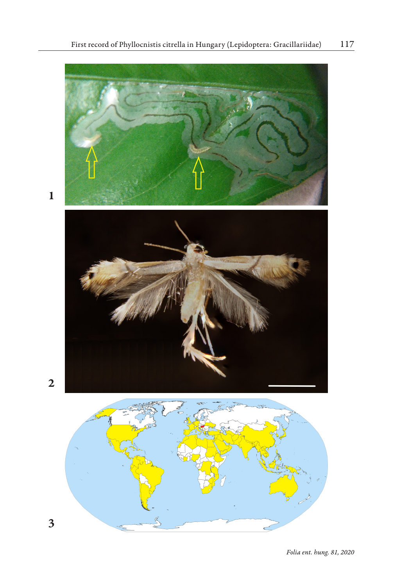

 $\mathbf{1}$ 

1<br>2<br>3  $\overline{2}$